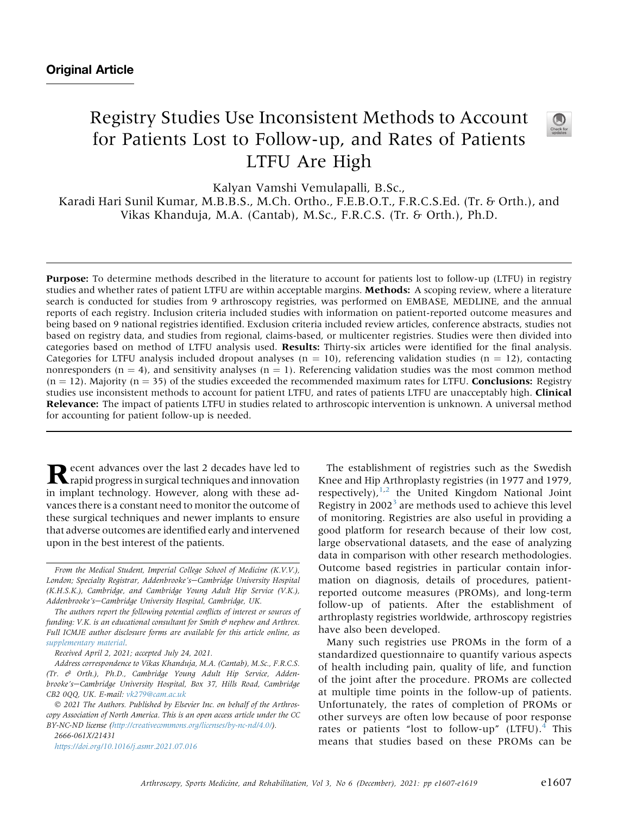# Registry Studies Use Inconsistent Methods to Account for Patients Lost to Follow-up, and Rates of Patients LTFU Are High



Kalyan Vamshi Vemulapalli, B.Sc.,

Karadi Hari Sunil Kumar, M.B.B.S., M.Ch. Ortho., F.E.B.O.T., F.R.C.S.Ed. (Tr. & Orth.), and Vikas Khanduja, M.A. (Cantab), M.Sc., F.R.C.S. (Tr. & Orth.), Ph.D.

Purpose: To determine methods described in the literature to account for patients lost to follow-up (LTFU) in registry studies and whether rates of patient LTFU are within acceptable margins. Methods: A scoping review, where a literature search is conducted for studies from 9 arthroscopy registries, was performed on EMBASE, MEDLINE, and the annual reports of each registry. Inclusion criteria included studies with information on patient-reported outcome measures and being based on 9 national registries identified. Exclusion criteria included review articles, conference abstracts, studies not based on registry data, and studies from regional, claims-based, or multicenter registries. Studies were then divided into categories based on method of LTFU analysis used. **Results:** Thirty-six articles were identified for the final analysis. Categories for LTFU analysis included dropout analyses ( $n = 10$ ), referencing validation studies ( $n = 12$ ), contacting nonresponders ( $n = 4$ ), and sensitivity analyses ( $n = 1$ ). Referencing validation studies was the most common method  $(n = 12)$ . Majority  $(n = 35)$  of the studies exceeded the recommended maximum rates for LTFU. **Conclusions:** Registry studies use inconsistent methods to account for patient LTFU, and rates of patients LTFU are unacceptably high. Clinical Relevance: The impact of patients LTFU in studies related to arthroscopic intervention is unknown. A universal method for accounting for patient follow-up is needed.

Recent advances over the last 2 decades have led to rapid progress in surgical techniques and innovation in implant technology. However, along with these advances there is a constant need to monitor the outcome of these surgical techniques and newer implants to ensure that adverse outcomes are identified early and intervened upon in the best interest of the patients.

Received April 2, 2021; accepted July 24, 2021.

2666-061X/21431

<https://doi.org/10.1016/j.asmr.2021.07.016>

The establishment of registries such as the Swedish Knee and Hip Arthroplasty registries (in 1977 and 1979, respectively), $1,2$  $1,2$  the United Kingdom National Joint Registry in  $2002<sup>3</sup>$  $2002<sup>3</sup>$  $2002<sup>3</sup>$  are methods used to achieve this level of monitoring. Registries are also useful in providing a good platform for research because of their low cost, large observational datasets, and the ease of analyzing data in comparison with other research methodologies. Outcome based registries in particular contain information on diagnosis, details of procedures, patientreported outcome measures (PROMs), and long-term follow-up of patients. After the establishment of arthroplasty registries worldwide, arthroscopy registries have also been developed.

Many such registries use PROMs in the form of a standardized questionnaire to quantify various aspects of health including pain, quality of life, and function of the joint after the procedure. PROMs are collected at multiple time points in the follow-up of patients. Unfortunately, the rates of completion of PROMs or other surveys are often low because of poor response rates or patients "lost to follow-up"  $(LTFU)$ . This means that studies based on these PROMs can be

From the Medical Student, Imperial College School of Medicine (K.V.V.), London; Specialty Registrar, Addenbrooke's-Cambridge University Hospital (K.H.S.K.), Cambridge, and Cambridge Young Adult Hip Service (V.K.), Addenbrooke's-Cambridge University Hospital, Cambridge, UK.

The authors report the following potential conflicts of interest or sources of funding: V.K. is an educational consultant for Smith  $\mathcal \theta$  nephew and Arthrex. Full ICMJE author disclosure forms are available for this article online, as supplementary material.

Address correspondence to Vikas Khanduja, M.A. (Cantab), M.Sc., F.R.C.S. (Tr. & Orth.), Ph.D., Cambridge Young Adult Hip Service, Addenbrooke's-Cambridge University Hospital, Box 37, Hills Road, Cambridge CB2 0QQ, UK. E-mail: [vk279@cam.ac.uk](mailto:vk279@cam.ac.uk)

2021 The Authors. Published by Elsevier Inc. on behalf of the Arthroscopy Association of North America. This is an open access article under the CC BY-NC-ND license (<http://creativecommons.org/licenses/by-nc-nd/4.0/>).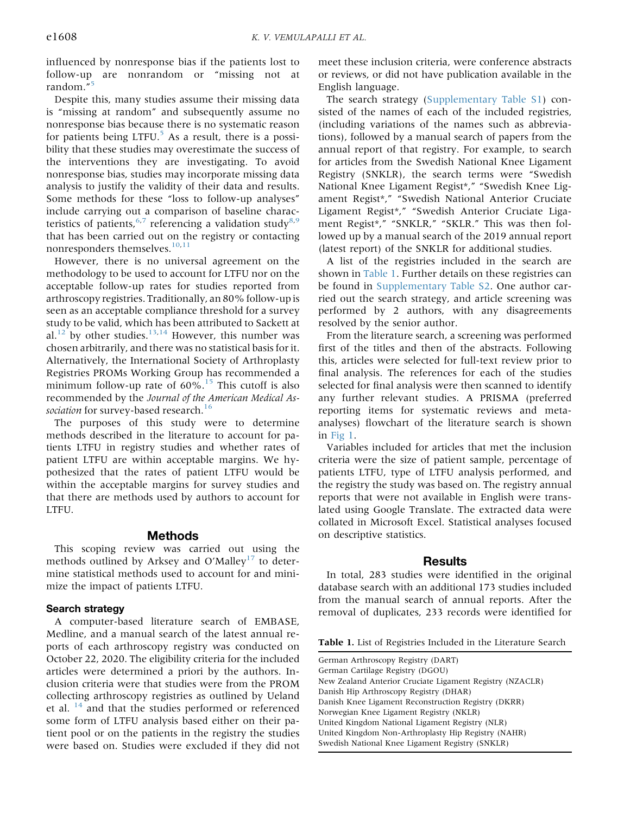influenced by nonresponse bias if the patients lost to follow-up are nonrandom or "missing not at random."

Despite this, many studies assume their missing data is "missing at random" and subsequently assume no nonresponse bias because there is no systematic reason for patients being LTFU. $5$  As a result, there is a possibility that these studies may overestimate the success of the interventions they are investigating. To avoid nonresponse bias, studies may incorporate missing data analysis to justify the validity of their data and results. Some methods for these "loss to follow-up analyses" include carrying out a comparison of baseline characteristics of patients,  $6.7$  $6.7$  referencing a validation study $8.9$  $8.9$ that has been carried out on the registry or contacting nonresponders themselves.<sup>[10,](#page-8-9)[11](#page-8-10)</sup>

However, there is no universal agreement on the methodology to be used to account for LTFU nor on the acceptable follow-up rates for studies reported from arthroscopy registries. Traditionally, an 80% follow-up is seen as an acceptable compliance threshold for a survey study to be valid, which has been attributed to Sackett at al.<sup>[12](#page-8-11)</sup> by other studies.<sup>[13,](#page-8-12)[14](#page-8-13)</sup> However, this number was chosen arbitrarily, and there was no statistical basis for it. Alternatively, the International Society of Arthroplasty Registries PROMs Working Group has recommended a minimum follow-up rate of  $60\%$ .<sup>[15](#page-8-14)</sup> This cutoff is also recommended by the Journal of the American Medical As-sociation for survey-based research.<sup>[16](#page-8-15)</sup>

The purposes of this study were to determine methods described in the literature to account for patients LTFU in registry studies and whether rates of patient LTFU are within acceptable margins. We hypothesized that the rates of patient LTFU would be within the acceptable margins for survey studies and that there are methods used by authors to account for LTFU.

#### Methods

This scoping review was carried out using the methods outlined by Arksey and O'Malley<sup>[17](#page-8-16)</sup> to determine statistical methods used to account for and minimize the impact of patients LTFU.

## Search strategy

A computer-based literature search of EMBASE, Medline, and a manual search of the latest annual reports of each arthroscopy registry was conducted on October 22, 2020. The eligibility criteria for the included articles were determined a priori by the authors. Inclusion criteria were that studies were from the PROM collecting arthroscopy registries as outlined by Ueland et al.  $^{14}$  $^{14}$  $^{14}$  and that the studies performed or referenced some form of LTFU analysis based either on their patient pool or on the patients in the registry the studies were based on. Studies were excluded if they did not

meet these inclusion criteria, were conference abstracts or reviews, or did not have publication available in the English language.

The search strategy (Supplementary Table S1) consisted of the names of each of the included registries, (including variations of the names such as abbreviations), followed by a manual search of papers from the annual report of that registry. For example, to search for articles from the Swedish National Knee Ligament Registry (SNKLR), the search terms were "Swedish National Knee Ligament Regist\*," "Swedish Knee Ligament Regist\*," "Swedish National Anterior Cruciate Ligament Regist\*," "Swedish Anterior Cruciate Ligament Regist\*," "SNKLR," "SKLR." This was then followed up by a manual search of the 2019 annual report (latest report) of the SNKLR for additional studies.

A list of the registries included in the search are shown in [Table 1.](#page-1-0) Further details on these registries can be found in Supplementary Table S2. One author carried out the search strategy, and article screening was performed by 2 authors, with any disagreements resolved by the senior author.

From the literature search, a screening was performed first of the titles and then of the abstracts. Following this, articles were selected for full-text review prior to final analysis. The references for each of the studies selected for final analysis were then scanned to identify any further relevant studies. A PRISMA (preferred reporting items for systematic reviews and metaanalyses) flowchart of the literature search is shown in [Fig 1.](#page-2-0)

Variables included for articles that met the inclusion criteria were the size of patient sample, percentage of patients LTFU, type of LTFU analysis performed, and the registry the study was based on. The registry annual reports that were not available in English were translated using Google Translate. The extracted data were collated in Microsoft Excel. Statistical analyses focused on descriptive statistics.

#### Results

In total, 283 studies were identified in the original database search with an additional 173 studies included from the manual search of annual reports. After the removal of duplicates, 233 records were identified for

<span id="page-1-0"></span>Table 1. List of Registries Included in the Literature Search

German Arthroscopy Registry (DART) German Cartilage Registry (DGOU) New Zealand Anterior Cruciate Ligament Registry (NZACLR) Danish Hip Arthroscopy Registry (DHAR) Danish Knee Ligament Reconstruction Registry (DKRR) Norwegian Knee Ligament Registry (NKLR) United Kingdom National Ligament Registry (NLR) United Kingdom Non-Arthroplasty Hip Registry (NAHR) Swedish National Knee Ligament Registry (SNKLR)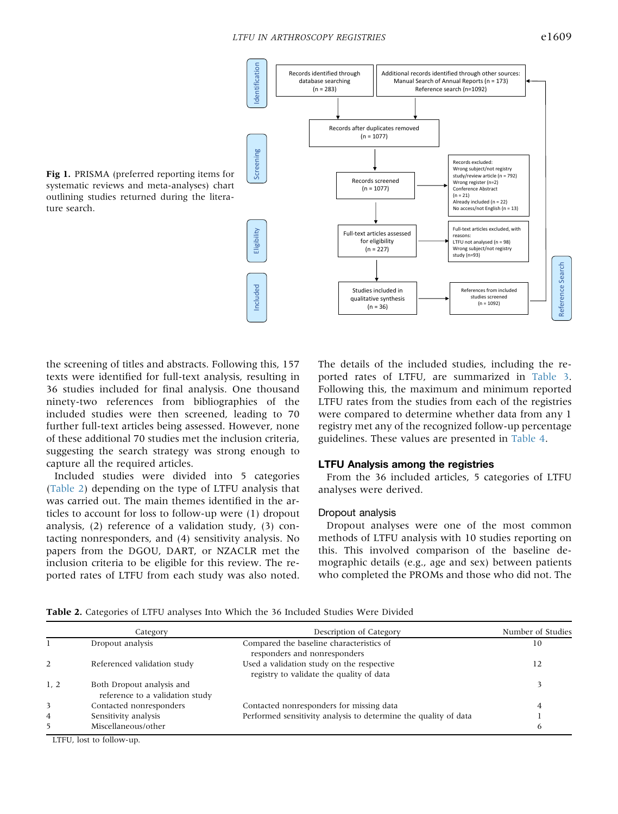gniScreen Included Eligibility Screening Screening Identification

icat **Identifi** 

<span id="page-2-0"></span>

Fig 1. PRISMA (preferred reporting items for systematic reviews and meta-analyses) chart outlining studies returned during the literature search.

the screening of titles and abstracts. Following this, 157 texts were identified for full-text analysis, resulting in 36 studies included for final analysis. One thousand ninety-two references from bibliographies of the included studies were then screened, leading to 70 further full-text articles being assessed. However, none of these additional 70 studies met the inclusion criteria, suggesting the search strategy was strong enough to capture all the required articles.

Included studies were divided into 5 categories [\(Table 2\)](#page-2-1) depending on the type of LTFU analysis that was carried out. The main themes identified in the articles to account for loss to follow-up were (1) dropout analysis, (2) reference of a validation study, (3) contacting nonresponders, and (4) sensitivity analysis. No papers from the DGOU, DART, or NZACLR met the inclusion criteria to be eligible for this review. The reported rates of LTFU from each study was also noted. The details of the included studies, including the reported rates of LTFU, are summarized in [Table 3.](#page-3-0) Following this, the maximum and minimum reported LTFU rates from the studies from each of the registries were compared to determine whether data from any 1 registry met any of the recognized follow-up percentage guidelines. These values are presented in [Table 4.](#page-5-0)

# LTFU Analysis among the registries

From the 36 included articles, 5 categories of LTFU analyses were derived.

#### Dropout analysis

Dropout analyses were one of the most common methods of LTFU analysis with 10 studies reporting on this. This involved comparison of the baseline demographic details (e.g., age and sex) between patients who completed the PROMs and those who did not. The

<span id="page-2-1"></span>Table 2. Categories of LTFU analyses Into Which the 36 Included Studies Were Divided

|      | Category                                                     | Description of Category                                                               | Number of Studies |
|------|--------------------------------------------------------------|---------------------------------------------------------------------------------------|-------------------|
|      | Dropout analysis                                             | Compared the baseline characteristics of<br>responders and nonresponders              | 10                |
| 2    | Referenced validation study                                  | Used a validation study on the respective<br>registry to validate the quality of data | 12                |
| 1, 2 | Both Dropout analysis and<br>reference to a validation study |                                                                                       |                   |
| 3    | Contacted nonresponders                                      | Contacted nonresponders for missing data                                              | 4                 |
| 4    | Sensitivity analysis                                         | Performed sensitivity analysis to determine the quality of data                       |                   |
| 5    | Miscellaneous/other                                          |                                                                                       | 6                 |

LTFU, lost to follow-up.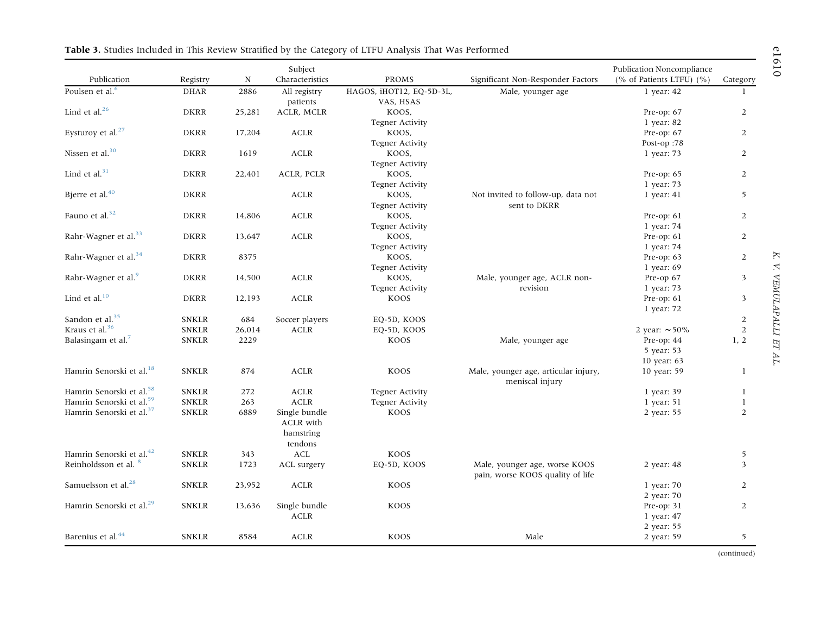<span id="page-3-0"></span>

| Publication                                                                     | Registry     | N      | Subject<br>Characteristics        | PROMS                           | Significant Non-Responder Factors                       | Publication Noncompliance<br>(% of Patients LTFU) (%) |                |
|---------------------------------------------------------------------------------|--------------|--------|-----------------------------------|---------------------------------|---------------------------------------------------------|-------------------------------------------------------|----------------|
| Poulsen et al. <sup>6</sup>                                                     |              |        |                                   |                                 |                                                         |                                                       | Category<br>л. |
|                                                                                 | <b>DHAR</b>  | 2886   | All registry                      | HAGOS, iHOT12, EQ-5D-3L,        | Male, younger age                                       | $1$ year: $42$                                        |                |
| Lind et al. <sup>26</sup>                                                       | <b>DKRR</b>  | 25,281 | patients                          | VAS, HSAS<br>KOOS,              |                                                         | Pre-op: 67                                            |                |
|                                                                                 |              |        | ACLR, MCLR                        |                                 |                                                         |                                                       | $\overline{2}$ |
| Eysturoy et al. $27$                                                            |              |        |                                   | <b>Tegner Activity</b><br>KOOS, |                                                         | 1 year: 82                                            | $\overline{2}$ |
|                                                                                 | <b>DKRR</b>  | 17,204 | ACLR                              |                                 |                                                         | Pre-op: 67                                            |                |
| Nissen et al. <sup>30</sup>                                                     |              |        |                                   | <b>Tegner Activity</b>          |                                                         | Post-op:78                                            |                |
|                                                                                 | <b>DKRR</b>  | 1619   | ACLR                              | KOOS,                           |                                                         | 1 year: 73                                            | 2              |
|                                                                                 |              |        |                                   | <b>Tegner Activity</b>          |                                                         |                                                       |                |
| Lind et al. <sup>31</sup>                                                       | <b>DKRR</b>  | 22,401 | ACLR, PCLR                        | KOOS,                           |                                                         | Pre-op: 65                                            | $\overline{2}$ |
|                                                                                 |              |        |                                   | Tegner Activity                 |                                                         | 1 year: 73                                            |                |
| Bjerre et al. <sup>40</sup>                                                     | <b>DKRR</b>  |        | ACLR                              | KOOS,                           | Not invited to follow-up, data not                      | 1 year: 41                                            | 5              |
|                                                                                 |              |        |                                   | <b>Tegner Activity</b>          | sent to DKRR                                            |                                                       |                |
| Fauno et al. <sup>32</sup>                                                      | <b>DKRR</b>  | 14,806 | ACLR                              | KOOS,                           |                                                         | Pre-op: $61$                                          | 2              |
|                                                                                 |              |        |                                   | <b>Tegner Activity</b>          |                                                         | 1 year: 74                                            |                |
| Rahr-Wagner et al. <sup>33</sup>                                                | <b>DKRR</b>  | 13,647 | $\operatorname{ACLR}$             | KOOS,                           |                                                         | Pre-op: 61                                            | $\overline{2}$ |
|                                                                                 |              |        |                                   | <b>Tegner Activity</b>          |                                                         | 1 year: 74                                            |                |
| Rahr-Wagner et al. <sup>34</sup>                                                | <b>DKRR</b>  | 8375   |                                   | KOOS,                           |                                                         | Pre-op: $63$                                          | $\overline{2}$ |
|                                                                                 |              |        |                                   | <b>Tegner Activity</b>          |                                                         | $l$ year: 69                                          |                |
| Rahr-Wagner et al. <sup>9</sup>                                                 | <b>DKRR</b>  | 14,500 | ACLR                              | KOOS,                           | Male, younger age, ACLR non-                            | Pre-op 67                                             | 3              |
|                                                                                 |              |        |                                   | <b>Tegner Activity</b>          | revision                                                | 1 year: 73                                            |                |
| Lind et al. $10$                                                                | <b>DKRR</b>  | 12,193 | $\operatorname{ACLR}$             | KOOS                            |                                                         | Pre-op: $61$                                          | 3              |
|                                                                                 |              |        |                                   |                                 |                                                         | 1 year: 72                                            |                |
| Sandon et al. <sup>35</sup>                                                     | <b>SNKLR</b> | 684    | Soccer players                    | EQ-5D, KOOS                     |                                                         |                                                       | $\overline{2}$ |
| Kraus et al. <sup>36</sup>                                                      | <b>SNKLR</b> | 26,014 | <b>ACLR</b>                       | EQ-5D, KOOS                     |                                                         | 2 year: $\sim 50\%$                                   | 2              |
| Balasingam et al. <sup>7</sup>                                                  | <b>SNKLR</b> | 2229   |                                   | KOOS                            | Male, younger age                                       | Pre-op: 44                                            | 1, 2           |
|                                                                                 |              |        |                                   |                                 |                                                         | 5 year: 53                                            |                |
|                                                                                 |              |        |                                   |                                 |                                                         | 10 year: 63                                           |                |
| Hamrin Senorski et al. <sup>18</sup>                                            | <b>SNKLR</b> | 874    | <b>ACLR</b>                       | KOOS                            | Male, younger age, articular injury,<br>meniscal injury | 10 year: 59                                           | 1              |
| Hamrin Senorski et al. <sup>58</sup>                                            | <b>SNKLR</b> | 272    | $\operatorname{ACLR}$             | <b>Tegner Activity</b>          |                                                         | 1 year: 39                                            | 1              |
| Hamrin Senorski et al. <sup>59</sup>                                            | <b>SNKLR</b> | 263    | ACLR                              | <b>Tegner Activity</b>          |                                                         | 1 year: 51                                            | 1              |
| Hamrin Senorski et al. <sup>37</sup>                                            | <b>SNKLR</b> | 6889   | Single bundle                     | KOOS                            |                                                         | 2 year: 55                                            | 2              |
|                                                                                 |              |        | ACLR with<br>hamstring<br>tendons |                                 |                                                         |                                                       |                |
| Hamrin Senorski et al. <sup>42</sup>                                            | <b>SNKLR</b> | 343    | ACL                               | KOOS                            |                                                         |                                                       | 5              |
| Reinholdsson et al. <sup>8</sup>                                                | <b>SNKLR</b> | 1723   | ACL surgery                       | EQ-5D, KOOS                     | Male, younger age, worse KOOS                           | 2 year: 48                                            | 3              |
|                                                                                 |              |        |                                   |                                 | pain, worse KOOS quality of life                        |                                                       |                |
| Samuelsson et al. <sup>28</sup>                                                 | <b>SNKLR</b> | 23,952 | ACLR                              | KOOS                            |                                                         | 1 year: 70                                            | $\overline{2}$ |
|                                                                                 |              |        |                                   |                                 |                                                         | 2 year: 70                                            |                |
| Hamrin Senorski et al. <sup>29</sup><br><b>SNKLR</b><br>Single bundle<br>13,636 |              | KOOS   |                                   | Pre-op: $31$                    | $\overline{2}$                                          |                                                       |                |
|                                                                                 |              |        | ACLR                              |                                 |                                                         | 1 year: 47                                            |                |
|                                                                                 |              |        |                                   |                                 |                                                         | 2 year: 55                                            |                |
| Barenius et al. <sup>44</sup>                                                   | <b>SNKLR</b> | 8584   | ACLR                              | KOOS                            | Male                                                    | 2 year: 59                                            | 5              |

e1610

K V. VEMULAPALLI ET AL. K. V. VEMULAPALLI ET AL.

(continued)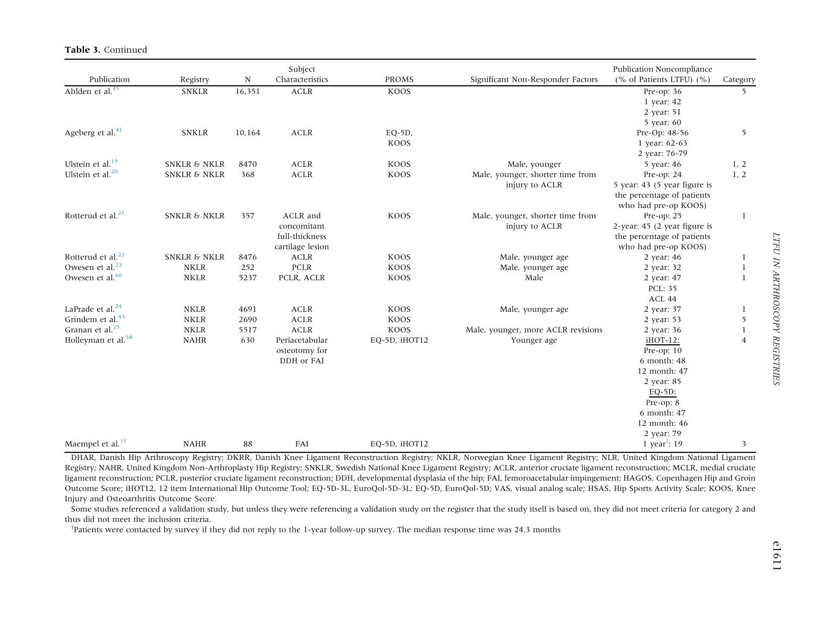| Publication                    | Registry                | N      | Subject<br>Characteristics | PROMS         | Significant Non-Responder Factors  | Publication Noncompliance<br>(% of Patients LTFU) (%) | Category       |
|--------------------------------|-------------------------|--------|----------------------------|---------------|------------------------------------|-------------------------------------------------------|----------------|
| Ahlden et al. <sup>45</sup>    | <b>SNKLR</b>            | 16,351 | <b>ACLR</b>                | KOOS          |                                    | Pre-op: 36                                            | 5              |
|                                |                         |        |                            |               |                                    | $1$ year: $42$                                        |                |
|                                |                         |        |                            |               |                                    | 2 year: 51                                            |                |
|                                |                         |        |                            |               |                                    | 5 year: 60                                            |                |
| Ageberg et al. $41$            | <b>SNKLR</b>            | 10,164 | ACLR                       | $EQ-5D,$      |                                    | Pre-Op: 48-56                                         | 5              |
|                                |                         |        |                            | KOOS          |                                    | 1 year: 62-63                                         |                |
|                                |                         |        |                            |               |                                    | 2 year: 76-79                                         |                |
| Ulstein et al. <sup>19</sup>   | <b>SNKLR &amp; NKLR</b> | 8470   | ACLR                       | KOOS          | Male, younger                      | 5 year: 46                                            | 1, 2           |
| Ulstein et al. <sup>20</sup>   | <b>SNKLR &amp; NKLR</b> | 368    | <b>ACLR</b>                | KOOS          | Male, younger, shorter time from   | Pre-op: 24                                            | 1, 2           |
|                                |                         |        |                            |               | injury to ACLR                     | 5 year: 43 (5 year figure is                          |                |
|                                |                         |        |                            |               |                                    | the percentage of patients                            |                |
|                                |                         |        |                            |               |                                    | who had pre-op KOOS)                                  |                |
| Rotterud et al. $^{21}$        | <b>SNKLR &amp; NKLR</b> | 357    | ACLR and                   | KOOS          | Male, younger, shorter time from   | Pre-op: 25                                            | 1              |
|                                |                         |        | concomitant                |               | injury to ACLR                     | 2-year: $45$ (2 year figure is                        |                |
|                                |                         |        | full-thickness             |               |                                    | the percentage of patients                            |                |
|                                |                         |        | cartilage lesion           |               |                                    | who had pre-op KOOS)                                  |                |
| Rotterud et al. $^{22}$        | <b>SNKLR &amp; NKLR</b> | 8476   | <b>ACLR</b>                | <b>KOOS</b>   | Male, younger age                  | 2 year: 46                                            | 1              |
| Owesen et al. $^{23}$          | <b>NKLR</b>             | 252    | PCLR                       | KOOS          | Male, younger age                  | 2 year: 32                                            | 1              |
| Owesen et al. <sup>60</sup>    | <b>NKLR</b>             | 5237   | PCLR, ACLR                 | KOOS          | Male                               | 2 year: 47                                            | 1              |
|                                |                         |        |                            |               |                                    | PCL: 35                                               |                |
|                                |                         |        |                            |               |                                    | ACL 44                                                |                |
| LaPrade et al. $^{24}$         | <b>NKLR</b>             | 4691   | <b>ACLR</b>                | KOOS          | Male, younger age                  | 2 year: 37                                            | 1              |
| Grindem et al. <sup>43</sup>   | <b>NKLR</b>             | 2690   | <b>ACLR</b>                | KOOS          |                                    | 2 year: 53                                            | 5              |
| Granan et al. <sup>25</sup>    | <b>NKLR</b>             | 5517   | <b>ACLR</b>                | KOOS          | Male, younger, more ACLR revisions | 2 year: 36                                            |                |
| Holleyman et al. <sup>38</sup> | <b>NAHR</b>             | 630    | Periacetabular             | EQ-5D, iHOT12 | Younger age                        | iHOT-12:                                              | $\overline{4}$ |
|                                |                         |        | osteotomy for              |               |                                    | Pre-op: $10$                                          |                |
|                                |                         |        | DDH or FAI                 |               |                                    | 6 month: 48                                           |                |
|                                |                         |        |                            |               |                                    | 12 month: 47                                          |                |
|                                |                         |        |                            |               |                                    | 2 year: 85                                            |                |
|                                |                         |        |                            |               |                                    | $EQ-5D$ :                                             |                |
|                                |                         |        |                            |               |                                    | Pre-op: 8                                             |                |
|                                |                         |        |                            |               |                                    | 6 month: 47                                           |                |
|                                |                         |        |                            |               |                                    | 12 month: 46                                          |                |
|                                |                         |        |                            |               |                                    | 2 year: 79                                            |                |
| Maempel et al. <sup>11</sup>   | <b>NAHR</b>             | 88     | FAI                        | EQ-5D, iHOT12 |                                    | 1 year <sup>†</sup> : 19                              | 3              |

DHAR, Danish Hip Arthroscopy Registry; DKRR, Danish Knee Ligament Reconstruction Registry; NKLR, Norwegian Knee Ligament Registry; NLR, United Kingdom National Ligament Registry; NAHR, United Kingdom Non-Arthroplasty Hip Registry; SNKLR, Swedish National Knee Ligament Registry; ACLR, anterior cruciate ligament reconstruction; MCLR, medial cruciate ligament reconstruction; PCLR, posterior cruciate ligament reconstruction; DDH, developmental dysplasia of the hip; FAI, femoroacetabular impingement; HAGOS, Copenhagen Hip and Groin Outcome Score; iHOT12, 12 item International Hip Outcome Tool; EQ-5D-3L, EuroQol-5D-3L; EQ-5D, EuroQol-5D; VAS, visual analog scale; HSAS, Hip Sports Activity Scale; KOOS, Knee Injury and Osteoarthritis Outcome Score.

Some studies referenced a validation study, but unless they were referencing a validation study on the register that the study itself is based on, they did not meet criteria for category 2 and thus did not meet the inclusion criteria.

 $\dagger$ Patients were contacted by survey if they did not reply to the 1-year follow-up survey. The median response time was 24.3 months

e1611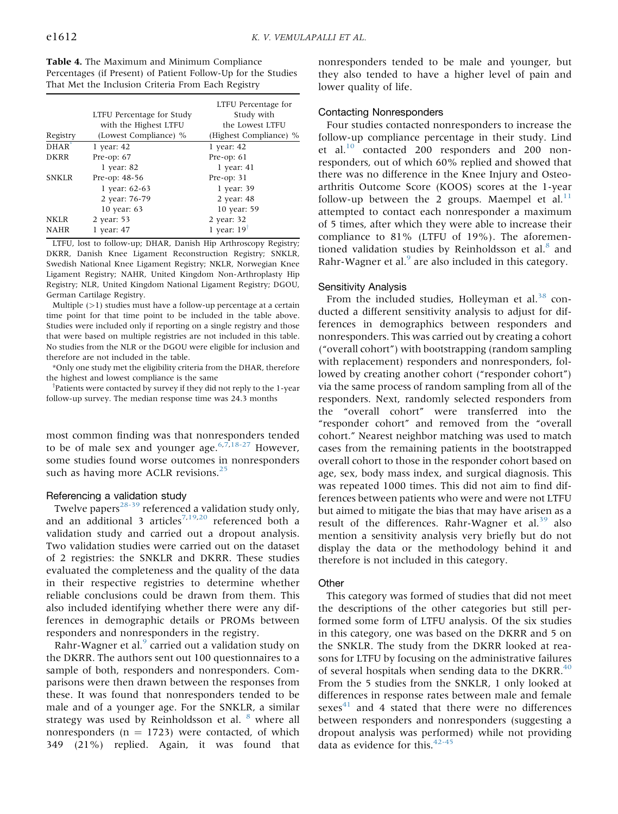<span id="page-5-0"></span>Table 4. The Maximum and Minimum Compliance Percentages (if Present) of Patient Follow-Up for the Studies That Met the Inclusion Criteria From Each Registry

|              | LTFU Percentage for Study<br>with the Highest LTFU | LTFU Percentage for<br>Study with<br>the Lowest LTFU |
|--------------|----------------------------------------------------|------------------------------------------------------|
| Registry     | (Lowest Compliance) %                              | (Highest Compliance) %                               |
| $DHAR^*$     | $1$ year: 42                                       | $1$ year: $42$                                       |
| <b>DKRR</b>  | Pre-op: $67$                                       | Pre-op: $61$                                         |
|              | 1 year: 82                                         | $l$ year: $4l$                                       |
| <b>SNKLR</b> | Pre-op: 48-56                                      | Pre-op: $31$                                         |
|              | 1 year: 62-63                                      | 1 year: 39                                           |
|              | 2 year: 76-79                                      | 2 year: 48                                           |
|              | 10 year: 63                                        | 10 year: 59                                          |
| <b>NKLR</b>  | 2 year: 53                                         | 2 year: 32                                           |
| <b>NAHR</b>  | 1 year: 47                                         | 1 year: $191$                                        |

LTFU, lost to follow-up; DHAR, Danish Hip Arthroscopy Registry; DKRR, Danish Knee Ligament Reconstruction Registry; SNKLR, Swedish National Knee Ligament Registry; NKLR, Norwegian Knee Ligament Registry; NAHR, United Kingdom Non-Arthroplasty Hip Registry; NLR, United Kingdom National Ligament Registry; DGOU, German Cartilage Registry.

Multiple  $(>1)$  studies must have a follow-up percentage at a certain time point for that time point to be included in the table above. Studies were included only if reporting on a single registry and those that were based on multiple registries are not included in this table. No studies from the NLR or the DGOU were eligible for inclusion and therefore are not included in the table.

\*Only one study met the eligibility criteria from the DHAR, therefore the highest and lowest compliance is the same

<sup>T</sup>Patients were contacted by survey if they did not reply to the 1-year follow-up survey. The median response time was 24.3 months

most common finding was that nonresponders tended to be of male sex and younger age. $6,7,18-27$  $6,7,18-27$  $6,7,18-27$  However, some studies found worse outcomes in nonresponders such as having more ACLR revisions.<sup>[25](#page-9-22)</sup>

#### Referencing a validation study

Twelve papers<sup>[28-39](#page-9-23)</sup> referenced a validation study only, and an additional 3 articles<sup>[7,](#page-8-6)[19](#page-8-29)[,20](#page-8-30)</sup> referenced both a validation study and carried out a dropout analysis. Two validation studies were carried out on the dataset of 2 registries: the SNKLR and DKRR. These studies evaluated the completeness and the quality of the data in their respective registries to determine whether reliable conclusions could be drawn from them. This also included identifying whether there were any differences in demographic details or PROMs between responders and nonresponders in the registry.

Rahr-Wagner et al. $9$  carried out a validation study on the DKRR. The authors sent out 100 questionnaires to a sample of both, responders and nonresponders. Comparisons were then drawn between the responses from these. It was found that nonresponders tended to be male and of a younger age. For the SNKLR, a similar strategy was used by Reinholdsson et al.  $8$  where all nonresponders ( $n = 1723$ ) were contacted, of which 349 (21%) replied. Again, it was found that nonresponders tended to be male and younger, but they also tended to have a higher level of pain and lower quality of life.

## Contacting Nonresponders

Four studies contacted nonresponders to increase the follow-up compliance percentage in their study. Lind et al.<sup>[10](#page-8-9)</sup> contacted 200 responders and 200 nonresponders, out of which 60% replied and showed that there was no difference in the Knee Injury and Osteoarthritis Outcome Score (KOOS) scores at the 1-year follow-up between the 2 groups. Maempel et al. $^{11}$  $^{11}$  $^{11}$ attempted to contact each nonresponder a maximum of 5 times, after which they were able to increase their compliance to 81% (LTFU of 19%). The aforementioned validation studies by Reinholdsson et al. $8$  and Rahr-Wagner et al.<sup>[9](#page-8-8)</sup> are also included in this category.

# Sensitivity Analysis

From the included studies, Holleyman et al. $38$  conducted a different sensitivity analysis to adjust for differences in demographics between responders and nonresponders. This was carried out by creating a cohort ("overall cohort") with bootstrapping (random sampling with replacement) responders and nonresponders, followed by creating another cohort ("responder cohort") via the same process of random sampling from all of the responders. Next, randomly selected responders from the "overall cohort" were transferred into the "responder cohort" and removed from the "overall cohort." Nearest neighbor matching was used to match cases from the remaining patients in the bootstrapped overall cohort to those in the responder cohort based on age, sex, body mass index, and surgical diagnosis. This was repeated 1000 times. This did not aim to find differences between patients who were and were not LTFU but aimed to mitigate the bias that may have arisen as a result of the differences. Rahr-Wagner et al.<sup>[39](#page-9-25)</sup> also mention a sensitivity analysis very briefly but do not display the data or the methodology behind it and therefore is not included in this category.

# **Other**

This category was formed of studies that did not meet the descriptions of the other categories but still performed some form of LTFU analysis. Of the six studies in this category, one was based on the DKRR and 5 on the SNKLR. The study from the DKRR looked at reasons for LTFU by focusing on the administrative failures of several hospitals when sending data to the DKRR. $40$ From the 5 studies from the SNKLR, 1 only looked at differences in response rates between male and female sexes $41$  and 4 stated that there were no differences between responders and nonresponders (suggesting a dropout analysis was performed) while not providing data as evidence for this.<sup>[42-45](#page-9-28)</sup>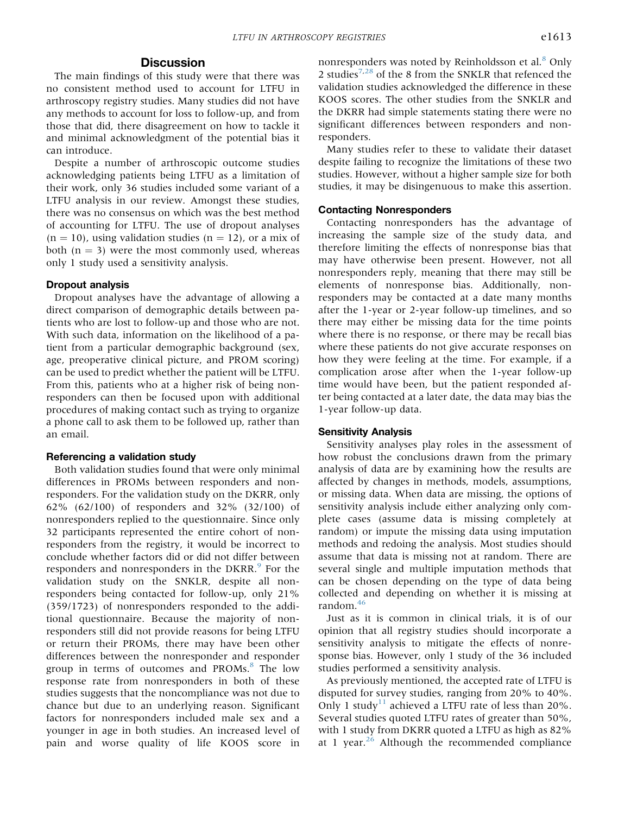# **Discussion**

The main findings of this study were that there was no consistent method used to account for LTFU in arthroscopy registry studies. Many studies did not have any methods to account for loss to follow-up, and from those that did, there disagreement on how to tackle it and minimal acknowledgment of the potential bias it can introduce.

Despite a number of arthroscopic outcome studies acknowledging patients being LTFU as a limitation of their work, only 36 studies included some variant of a LTFU analysis in our review. Amongst these studies, there was no consensus on which was the best method of accounting for LTFU. The use of dropout analyses  $(n = 10)$ , using validation studies  $(n = 12)$ , or a mix of both  $(n = 3)$  were the most commonly used, whereas only 1 study used a sensitivity analysis.

#### Dropout analysis

Dropout analyses have the advantage of allowing a direct comparison of demographic details between patients who are lost to follow-up and those who are not. With such data, information on the likelihood of a patient from a particular demographic background (sex, age, preoperative clinical picture, and PROM scoring) can be used to predict whether the patient will be LTFU. From this, patients who at a higher risk of being nonresponders can then be focused upon with additional procedures of making contact such as trying to organize a phone call to ask them to be followed up, rather than an email.

#### Referencing a validation study

Both validation studies found that were only minimal differences in PROMs between responders and nonresponders. For the validation study on the DKRR, only 62% (62/100) of responders and 32% (32/100) of nonresponders replied to the questionnaire. Since only 32 participants represented the entire cohort of nonresponders from the registry, it would be incorrect to conclude whether factors did or did not differ between responders and nonresponders in the DKRR.<sup>[9](#page-8-8)</sup> For the validation study on the SNKLR, despite all nonresponders being contacted for follow-up, only 21% (359/1723) of nonresponders responded to the additional questionnaire. Because the majority of nonresponders still did not provide reasons for being LTFU or return their PROMs, there may have been other differences between the nonresponder and responder group in terms of outcomes and PROMs.<sup>[8](#page-8-7)</sup> The low response rate from nonresponders in both of these studies suggests that the noncompliance was not due to chance but due to an underlying reason. Significant factors for nonresponders included male sex and a younger in age in both studies. An increased level of pain and worse quality of life KOOS score in

nonresponders was noted by Reinholdsson et al.<sup>[8](#page-8-7)</sup> Only 2 studies<sup>[7,](#page-8-6)[28](#page-9-23)</sup> of the 8 from the SNKLR that refenced the validation studies acknowledged the difference in these KOOS scores. The other studies from the SNKLR and the DKRR had simple statements stating there were no significant differences between responders and nonresponders.

Many studies refer to these to validate their dataset despite failing to recognize the limitations of these two studies. However, without a higher sample size for both studies, it may be disingenuous to make this assertion.

### Contacting Nonresponders

Contacting nonresponders has the advantage of increasing the sample size of the study data, and therefore limiting the effects of nonresponse bias that may have otherwise been present. However, not all nonresponders reply, meaning that there may still be elements of nonresponse bias. Additionally, nonresponders may be contacted at a date many months after the 1-year or 2-year follow-up timelines, and so there may either be missing data for the time points where there is no response, or there may be recall bias where these patients do not give accurate responses on how they were feeling at the time. For example, if a complication arose after when the 1-year follow-up time would have been, but the patient responded after being contacted at a later date, the data may bias the 1-year follow-up data.

### Sensitivity Analysis

Sensitivity analyses play roles in the assessment of how robust the conclusions drawn from the primary analysis of data are by examining how the results are affected by changes in methods, models, assumptions, or missing data. When data are missing, the options of sensitivity analysis include either analyzing only complete cases (assume data is missing completely at random) or impute the missing data using imputation methods and redoing the analysis. Most studies should assume that data is missing not at random. There are several single and multiple imputation methods that can be chosen depending on the type of data being collected and depending on whether it is missing at random.[46](#page-10-3)

Just as it is common in clinical trials, it is of our opinion that all registry studies should incorporate a sensitivity analysis to mitigate the effects of nonresponse bias. However, only 1 study of the 36 included studies performed a sensitivity analysis.

As previously mentioned, the accepted rate of LTFU is disputed for survey studies, ranging from 20% to 40%. Only 1 study<sup>[11](#page-8-10)</sup> achieved a LTFU rate of less than 20%. Several studies quoted LTFU rates of greater than 50%, with 1 study from DKRR quoted a LTFU as high as 82% at 1 year. $26$  Although the recommended compliance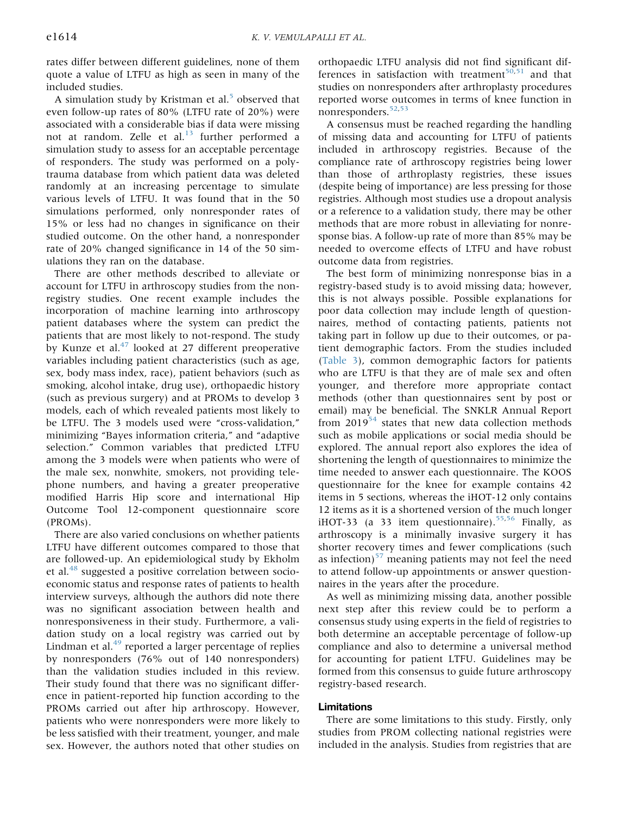rates differ between different guidelines, none of them quote a value of LTFU as high as seen in many of the included studies.

A simulation study by Kristman et al.<sup>[5](#page-8-4)</sup> observed that even follow-up rates of 80% (LTFU rate of 20%) were associated with a considerable bias if data were missing not at random. Zelle et al. $13$  further performed a simulation study to assess for an acceptable percentage of responders. The study was performed on a polytrauma database from which patient data was deleted randomly at an increasing percentage to simulate various levels of LTFU. It was found that in the 50 simulations performed, only nonresponder rates of 15% or less had no changes in significance on their studied outcome. On the other hand, a nonresponder rate of 20% changed significance in 14 of the 50 simulations they ran on the database.

There are other methods described to alleviate or account for LTFU in arthroscopy studies from the nonregistry studies. One recent example includes the incorporation of machine learning into arthroscopy patient databases where the system can predict the patients that are most likely to not-respond. The study by Kunze et al. $47$  looked at 27 different preoperative variables including patient characteristics (such as age, sex, body mass index, race), patient behaviors (such as smoking, alcohol intake, drug use), orthopaedic history (such as previous surgery) and at PROMs to develop 3 models, each of which revealed patients most likely to be LTFU. The 3 models used were "cross-validation," minimizing "Bayes information criteria," and "adaptive selection." Common variables that predicted LTFU among the 3 models were when patients who were of the male sex, nonwhite, smokers, not providing telephone numbers, and having a greater preoperative modified Harris Hip score and international Hip Outcome Tool 12-component questionnaire score (PROMs).

There are also varied conclusions on whether patients LTFU have different outcomes compared to those that are followed-up. An epidemiological study by Ekholm et al.<sup>[48](#page-10-5)</sup> suggested a positive correlation between socioeconomic status and response rates of patients to health interview surveys, although the authors did note there was no significant association between health and nonresponsiveness in their study. Furthermore, a validation study on a local registry was carried out by Lindman et al. $49$  reported a larger percentage of replies by nonresponders (76% out of 140 nonresponders) than the validation studies included in this review. Their study found that there was no significant difference in patient-reported hip function according to the PROMs carried out after hip arthroscopy. However, patients who were nonresponders were more likely to be less satisfied with their treatment, younger, and male sex. However, the authors noted that other studies on

orthopaedic LTFU analysis did not find significant dif-ferences in satisfaction with treatment<sup>[50,](#page-10-7)[51](#page-10-8)</sup> and that studies on nonresponders after arthroplasty procedures reported worse outcomes in terms of knee function in nonresponders.<sup>[52](#page-10-9)[,53](#page-10-10)</sup>

A consensus must be reached regarding the handling of missing data and accounting for LTFU of patients included in arthroscopy registries. Because of the compliance rate of arthroscopy registries being lower than those of arthroplasty registries, these issues (despite being of importance) are less pressing for those registries. Although most studies use a dropout analysis or a reference to a validation study, there may be other methods that are more robust in alleviating for nonresponse bias. A follow-up rate of more than 85% may be needed to overcome effects of LTFU and have robust outcome data from registries.

The best form of minimizing nonresponse bias in a registry-based study is to avoid missing data; however, this is not always possible. Possible explanations for poor data collection may include length of questionnaires, method of contacting patients, patients not taking part in follow up due to their outcomes, or patient demographic factors. From the studies included ([Table 3](#page-3-0)), common demographic factors for patients who are LTFU is that they are of male sex and often younger, and therefore more appropriate contact methods (other than questionnaires sent by post or email) may be beneficial. The SNKLR Annual Report from  $2019^{54}$  $2019^{54}$  $2019^{54}$  states that new data collection methods such as mobile applications or social media should be explored. The annual report also explores the idea of shortening the length of questionnaires to minimize the time needed to answer each questionnaire. The KOOS questionnaire for the knee for example contains 42 items in 5 sections, whereas the iHOT-12 only contains 12 items as it is a shortened version of the much longer iHOT-33 (a 33 item questionnaire).<sup>[55,](#page-10-12)[56](#page-10-13)</sup> Finally, as arthroscopy is a minimally invasive surgery it has shorter recovery times and fewer complications (such as infection) $57$  meaning patients may not feel the need to attend follow-up appointments or answer questionnaires in the years after the procedure.

As well as minimizing missing data, another possible next step after this review could be to perform a consensus study using experts in the field of registries to both determine an acceptable percentage of follow-up compliance and also to determine a universal method for accounting for patient LTFU. Guidelines may be formed from this consensus to guide future arthroscopy registry-based research.

# Limitations

There are some limitations to this study. Firstly, only studies from PROM collecting national registries were included in the analysis. Studies from registries that are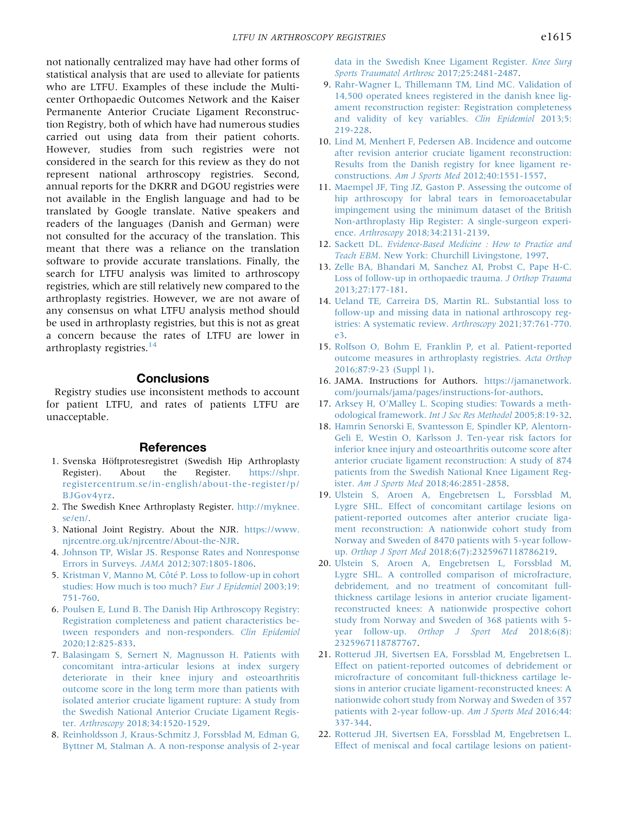<span id="page-8-22"></span><span id="page-8-20"></span>not nationally centralized may have had other forms of statistical analysis that are used to alleviate for patients who are LTFU. Examples of these include the Multicenter Orthopaedic Outcomes Network and the Kaiser Permanente Anterior Cruciate Ligament Reconstruction Registry, both of which have had numerous studies carried out using data from their patient cohorts. However, studies from such registries were not considered in the search for this review as they do not represent national arthroscopy registries. Second, annual reports for the DKRR and DGOU registries were not available in the English language and had to be translated by Google translate. Native speakers and readers of the languages (Danish and German) were not consulted for the accuracy of the translation. This meant that there was a reliance on the translation software to provide accurate translations. Finally, the search for LTFU analysis was limited to arthroscopy registries, which are still relatively new compared to the arthroplasty registries. However, we are not aware of any consensus on what LTFU analysis method should be used in arthroplasty registries, but this is not as great a concern because the rates of LTFU are lower in arthroplasty registries. $14$ 

# <span id="page-8-26"></span><span id="page-8-25"></span>**Conclusions**

Registry studies use inconsistent methods to account for patient LTFU, and rates of patients LTFU are unacceptable.

# **References**

- <span id="page-8-0"></span>1. Svenska Höftprotesregistret (Swedish Hip Arthroplasty Register). About the Register. [https://shpr.](https://shpr.registercentrum.se/in-english/about-the-register/p/BJGov4yrz) [registercentrum.se/in-english/about-the-register/p/](https://shpr.registercentrum.se/in-english/about-the-register/p/BJGov4yrz) [BJGov4yrz.](https://shpr.registercentrum.se/in-english/about-the-register/p/BJGov4yrz)
- <span id="page-8-2"></span><span id="page-8-1"></span>2. The Swedish Knee Arthroplasty Register. [http://myknee.](http://myknee.se/en/) [se/en/.](http://myknee.se/en/)
- <span id="page-8-3"></span>3. National Joint Registry. About the NJR. [https://www.](https://www.njrcentre.org.uk/njrcentre/About-the-NJR) [njrcentre.org.uk/njrcentre/About-the-NJR.](https://www.njrcentre.org.uk/njrcentre/About-the-NJR)
- <span id="page-8-4"></span>4. [Johnson TP, Wislar JS. Response Rates and Nonresponse](http://refhub.elsevier.com/S2666-061X(21)00129-2/sref4) Errors in Surveys. JAMA [2012;307:1805-1806](http://refhub.elsevier.com/S2666-061X(21)00129-2/sref4).
- <span id="page-8-5"></span>5. [Kristman V, Manno M, Côté P. Loss to follow-up in cohort](http://refhub.elsevier.com/S2666-061X(21)00129-2/sref5) [studies: How much is too much?](http://refhub.elsevier.com/S2666-061X(21)00129-2/sref5) Eur J Epidemiol 2003;19: [751-760](http://refhub.elsevier.com/S2666-061X(21)00129-2/sref5).
- 6. [Poulsen E, Lund B. The Danish Hip Arthroscopy Registry:](http://refhub.elsevier.com/S2666-061X(21)00129-2/sref6) [Registration completeness and patient characteristics be](http://refhub.elsevier.com/S2666-061X(21)00129-2/sref6)[tween responders and non-responders.](http://refhub.elsevier.com/S2666-061X(21)00129-2/sref6) Clin Epidemiol [2020;12:825-833.](http://refhub.elsevier.com/S2666-061X(21)00129-2/sref6)
- <span id="page-8-6"></span>7. [Balasingam S, Sernert N, Magnusson H. Patients with](http://refhub.elsevier.com/S2666-061X(21)00129-2/sref7) [concomitant intra-articular lesions at index surgery](http://refhub.elsevier.com/S2666-061X(21)00129-2/sref7) [deteriorate in their knee injury and osteoarthritis](http://refhub.elsevier.com/S2666-061X(21)00129-2/sref7) [outcome score in the long term more than patients with](http://refhub.elsevier.com/S2666-061X(21)00129-2/sref7) [isolated anterior cruciate ligament rupture: A study from](http://refhub.elsevier.com/S2666-061X(21)00129-2/sref7) [the Swedish National Anterior Cruciate Ligament Regis](http://refhub.elsevier.com/S2666-061X(21)00129-2/sref7)ter. Arthroscopy [2018;34:1520-1529](http://refhub.elsevier.com/S2666-061X(21)00129-2/sref7).
- <span id="page-8-7"></span>8. [Reinholdsson J, Kraus-Schmitz J, Forssblad M, Edman G,](http://refhub.elsevier.com/S2666-061X(21)00129-2/sref8) [Byttner M, Stalman A. A non-response analysis of 2-year](http://refhub.elsevier.com/S2666-061X(21)00129-2/sref8)

[data in the Swedish Knee Ligament Register.](http://refhub.elsevier.com/S2666-061X(21)00129-2/sref8) Knee Surg [Sports Traumatol Arthrosc](http://refhub.elsevier.com/S2666-061X(21)00129-2/sref8) 2017;25:2481-2487.

- <span id="page-8-17"></span><span id="page-8-8"></span>9. [Rahr-Wagner L, Thillemann TM, Lind MC. Validation of](http://refhub.elsevier.com/S2666-061X(21)00129-2/sref9) [14,500 operated knees registered in the danish knee lig](http://refhub.elsevier.com/S2666-061X(21)00129-2/sref9)[ament reconstruction register: Registration completeness](http://refhub.elsevier.com/S2666-061X(21)00129-2/sref9) [and validity of key variables.](http://refhub.elsevier.com/S2666-061X(21)00129-2/sref9) Clin Epidemiol 2013;5: [219-228.](http://refhub.elsevier.com/S2666-061X(21)00129-2/sref9)
- <span id="page-8-9"></span>10. [Lind M, Menhert F, Pedersen AB. Incidence and outcome](http://refhub.elsevier.com/S2666-061X(21)00129-2/sref10) [after revision anterior cruciate ligament reconstruction:](http://refhub.elsevier.com/S2666-061X(21)00129-2/sref10) [Results from the Danish registry for knee ligament re](http://refhub.elsevier.com/S2666-061X(21)00129-2/sref10)constructions. Am J Sports Med [2012;40:1551-1557.](http://refhub.elsevier.com/S2666-061X(21)00129-2/sref10)
- <span id="page-8-10"></span>11. [Maempel JF, Ting JZ, Gaston P. Assessing the outcome of](http://refhub.elsevier.com/S2666-061X(21)00129-2/sref11) [hip arthroscopy for labral tears in femoroacetabular](http://refhub.elsevier.com/S2666-061X(21)00129-2/sref11) [impingement using the minimum dataset of the British](http://refhub.elsevier.com/S2666-061X(21)00129-2/sref11) [Non-arthroplasty Hip Register: A single-surgeon experi](http://refhub.elsevier.com/S2666-061X(21)00129-2/sref11)ence. Arthroscopy [2018;34:2131-2139](http://refhub.elsevier.com/S2666-061X(21)00129-2/sref11).
- <span id="page-8-11"></span>12. Sackett DL. [Evidence-Based Medicine : How to Practice and](http://refhub.elsevier.com/S2666-061X(21)00129-2/sref12) Teach EBM[. New York: Churchill Livingstone, 1997.](http://refhub.elsevier.com/S2666-061X(21)00129-2/sref12)
- <span id="page-8-12"></span>13. [Zelle BA, Bhandari M, Sanchez AI, Probst C, Pape H-C.](http://refhub.elsevier.com/S2666-061X(21)00129-2/sref13) [Loss of follow-up in orthopaedic trauma.](http://refhub.elsevier.com/S2666-061X(21)00129-2/sref13) J Orthop Trauma [2013;27:177-181](http://refhub.elsevier.com/S2666-061X(21)00129-2/sref13).
- <span id="page-8-27"></span><span id="page-8-24"></span><span id="page-8-23"></span><span id="page-8-21"></span><span id="page-8-19"></span><span id="page-8-18"></span><span id="page-8-13"></span>14. [Ueland TE, Carreira DS, Martin RL. Substantial loss to](http://refhub.elsevier.com/S2666-061X(21)00129-2/sref14) [follow-up and missing data in national arthroscopy reg](http://refhub.elsevier.com/S2666-061X(21)00129-2/sref14)[istries: A systematic review.](http://refhub.elsevier.com/S2666-061X(21)00129-2/sref14) Arthroscopy 2021;37:761-770. [e3](http://refhub.elsevier.com/S2666-061X(21)00129-2/sref14).
- <span id="page-8-14"></span>15. [Rolfson O, Bohm E, Franklin P, et al. Patient-reported](http://refhub.elsevier.com/S2666-061X(21)00129-2/sref15) [outcome measures in arthroplasty registries.](http://refhub.elsevier.com/S2666-061X(21)00129-2/sref15) Acta Orthop [2016;87:9-23 \(Suppl 1\).](http://refhub.elsevier.com/S2666-061X(21)00129-2/sref15)
- <span id="page-8-15"></span>16. JAMA. Instructions for Authors. [https://jamanetwork.](https://jamanetwork.com/journals/jama/pages/instructions-for-authors) [com/journals/jama/pages/instructions-for-authors.](https://jamanetwork.com/journals/jama/pages/instructions-for-authors)
- <span id="page-8-16"></span>17. Arksey H, O'[Malley L. Scoping studies: Towards a meth](http://refhub.elsevier.com/S2666-061X(21)00129-2/sref17)[odological framework.](http://refhub.elsevier.com/S2666-061X(21)00129-2/sref17) Int J Soc Res Methodol 2005;8:19-32.
- <span id="page-8-28"></span>18. [Hamrin Senorski E, Svantesson E, Spindler KP, Alentorn-](http://refhub.elsevier.com/S2666-061X(21)00129-2/sref18)[Geli E, Westin O, Karlsson J. Ten-year risk factors for](http://refhub.elsevier.com/S2666-061X(21)00129-2/sref18) [inferior knee injury and osteoarthritis outcome score after](http://refhub.elsevier.com/S2666-061X(21)00129-2/sref18) [anterior cruciate ligament reconstruction: A study of 874](http://refhub.elsevier.com/S2666-061X(21)00129-2/sref18) [patients from the Swedish National Knee Ligament Reg](http://refhub.elsevier.com/S2666-061X(21)00129-2/sref18)ister. Am J Sports Med [2018;46:2851-2858.](http://refhub.elsevier.com/S2666-061X(21)00129-2/sref18)
- <span id="page-8-29"></span>19. [Ulstein S, Aroen A, Engebretsen L, Forssblad M,](http://refhub.elsevier.com/S2666-061X(21)00129-2/sref19) [Lygre SHL. Effect of concomitant cartilage lesions on](http://refhub.elsevier.com/S2666-061X(21)00129-2/sref19) [patient-reported outcomes after anterior cruciate liga](http://refhub.elsevier.com/S2666-061X(21)00129-2/sref19)[ment reconstruction: A nationwide cohort study from](http://refhub.elsevier.com/S2666-061X(21)00129-2/sref19) [Norway and Sweden of 8470 patients with 5-year follow](http://refhub.elsevier.com/S2666-061X(21)00129-2/sref19)up. Orthop J Sport Med [2018;6\(7\):2325967118786219](http://refhub.elsevier.com/S2666-061X(21)00129-2/sref19).
- <span id="page-8-30"></span>20. [Ulstein S, Aroen A, Engebretsen L, Forssblad M,](http://refhub.elsevier.com/S2666-061X(21)00129-2/sref20) [Lygre SHL. A controlled comparison of microfracture,](http://refhub.elsevier.com/S2666-061X(21)00129-2/sref20) [debridement, and no treatment of concomitant full](http://refhub.elsevier.com/S2666-061X(21)00129-2/sref20)[thickness cartilage lesions in anterior cruciate ligament](http://refhub.elsevier.com/S2666-061X(21)00129-2/sref20)[reconstructed knees: A nationwide prospective cohort](http://refhub.elsevier.com/S2666-061X(21)00129-2/sref20) [study from Norway and Sweden of 368 patients with 5](http://refhub.elsevier.com/S2666-061X(21)00129-2/sref20) year follow-up. [Orthop J Sport Med](http://refhub.elsevier.com/S2666-061X(21)00129-2/sref20) 2018;6(8): [2325967118787767.](http://refhub.elsevier.com/S2666-061X(21)00129-2/sref20)
- 21. [Rotterud JH, Sivertsen EA, Forssblad M, Engebretsen L.](http://refhub.elsevier.com/S2666-061X(21)00129-2/sref21) [Effect on patient-reported outcomes of debridement or](http://refhub.elsevier.com/S2666-061X(21)00129-2/sref21) [microfracture of concomitant full-thickness cartilage le](http://refhub.elsevier.com/S2666-061X(21)00129-2/sref21)[sions in anterior cruciate ligament-reconstructed knees: A](http://refhub.elsevier.com/S2666-061X(21)00129-2/sref21) [nationwide cohort study from Norway and Sweden of 357](http://refhub.elsevier.com/S2666-061X(21)00129-2/sref21) [patients with 2-year follow-up.](http://refhub.elsevier.com/S2666-061X(21)00129-2/sref21) Am J Sports Med 2016;44: [337-344.](http://refhub.elsevier.com/S2666-061X(21)00129-2/sref21)
- 22. [Rotterud JH, Sivertsen EA, Forssblad M, Engebretsen L.](http://refhub.elsevier.com/S2666-061X(21)00129-2/sref22) [Effect of meniscal and focal cartilage lesions on patient-](http://refhub.elsevier.com/S2666-061X(21)00129-2/sref22)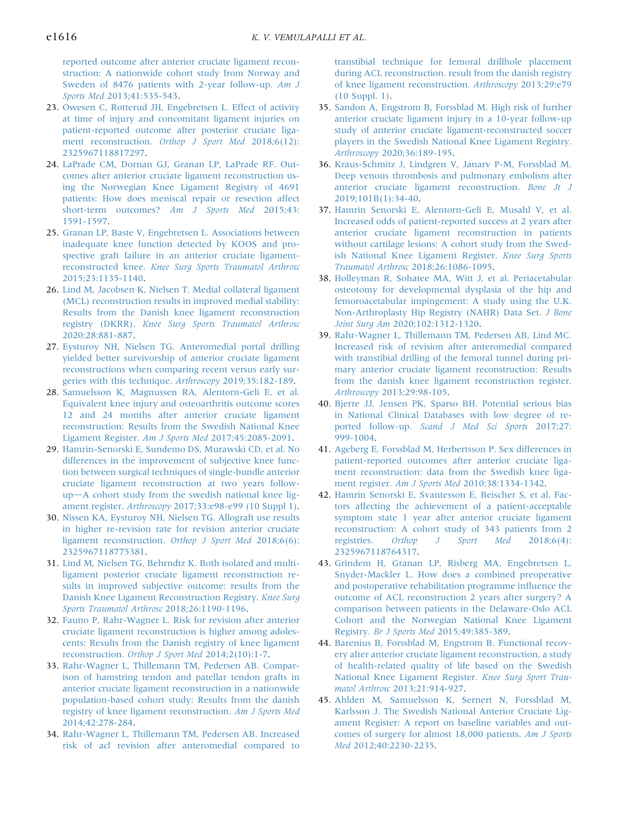<span id="page-9-7"></span><span id="page-9-6"></span>[reported outcome after anterior cruciate ligament recon](http://refhub.elsevier.com/S2666-061X(21)00129-2/sref22)[struction: A nationwide cohort study from Norway and](http://refhub.elsevier.com/S2666-061X(21)00129-2/sref22) [Sweden of 8476 patients with 2-year follow-up.](http://refhub.elsevier.com/S2666-061X(21)00129-2/sref22) Am J Sports Med [2013;41:535-543.](http://refhub.elsevier.com/S2666-061X(21)00129-2/sref22)

- 23. [Owesen C, Rotterud JH, Engebretsen L. Effect of activity](http://refhub.elsevier.com/S2666-061X(21)00129-2/sref23) [at time of injury and concomitant ligament injuries on](http://refhub.elsevier.com/S2666-061X(21)00129-2/sref23) [patient-reported outcome after posterior cruciate liga](http://refhub.elsevier.com/S2666-061X(21)00129-2/sref23)[ment reconstruction.](http://refhub.elsevier.com/S2666-061X(21)00129-2/sref23) Orthop J Sport Med 2018;6(12): [2325967118817297](http://refhub.elsevier.com/S2666-061X(21)00129-2/sref23).
- 24. [LaPrade CM, Dornan GJ, Granan LP, LaPrade RF. Out](http://refhub.elsevier.com/S2666-061X(21)00129-2/sref24)[comes after anterior cruciate ligament reconstruction us](http://refhub.elsevier.com/S2666-061X(21)00129-2/sref24)[ing the Norwegian Knee Ligament Registry of 4691](http://refhub.elsevier.com/S2666-061X(21)00129-2/sref24) [patients: How does meniscal repair or resection affect](http://refhub.elsevier.com/S2666-061X(21)00129-2/sref24) [short-term outcomes?](http://refhub.elsevier.com/S2666-061X(21)00129-2/sref24) Am J Sports Med 2015;43: [1591-1597](http://refhub.elsevier.com/S2666-061X(21)00129-2/sref24).
- <span id="page-9-22"></span>25. [Granan LP, Baste V, Engebretsen L. Associations between](http://refhub.elsevier.com/S2666-061X(21)00129-2/sref25) [inadequate knee function detected by KOOS and pro](http://refhub.elsevier.com/S2666-061X(21)00129-2/sref25)[spective graft failure in an anterior cruciate ligament](http://refhub.elsevier.com/S2666-061X(21)00129-2/sref25)reconstructed knee. [Knee Surg Sports Traumatol Arthrosc](http://refhub.elsevier.com/S2666-061X(21)00129-2/sref25) [2015;23:1135-1140.](http://refhub.elsevier.com/S2666-061X(21)00129-2/sref25)
- <span id="page-9-29"></span>26. [Lind M, Jacobsen K, Nielsen T. Medial collateral ligament](http://refhub.elsevier.com/S2666-061X(21)00129-2/sref26) [\(MCL\) reconstruction results in improved medial stability:](http://refhub.elsevier.com/S2666-061X(21)00129-2/sref26) [Results from the Danish knee ligament reconstruction](http://refhub.elsevier.com/S2666-061X(21)00129-2/sref26) registry (DKRR). [Knee Surg Sports Traumatol Arthrosc](http://refhub.elsevier.com/S2666-061X(21)00129-2/sref26) [2020;28:881-887.](http://refhub.elsevier.com/S2666-061X(21)00129-2/sref26)
- <span id="page-9-15"></span><span id="page-9-14"></span>27. [Eysturoy NH, Nielsen TG. Anteromedial portal drilling](http://refhub.elsevier.com/S2666-061X(21)00129-2/sref27) [yielded better survivorship of anterior cruciate ligament](http://refhub.elsevier.com/S2666-061X(21)00129-2/sref27) [reconstructions when comparing recent versus early sur](http://refhub.elsevier.com/S2666-061X(21)00129-2/sref27)[geries with this technique.](http://refhub.elsevier.com/S2666-061X(21)00129-2/sref27) Arthroscopy 2019;35:182-189.
- <span id="page-9-23"></span>28. [Samuelsson K, Magnussen RA, Alentorn-Geli E, et al.](http://refhub.elsevier.com/S2666-061X(21)00129-2/sref28) [Equivalent knee injury and osteoarthritis outcome scores](http://refhub.elsevier.com/S2666-061X(21)00129-2/sref28) [12 and 24 months after anterior cruciate ligament](http://refhub.elsevier.com/S2666-061X(21)00129-2/sref28) [reconstruction: Results from the Swedish National Knee](http://refhub.elsevier.com/S2666-061X(21)00129-2/sref28) Ligament Register. Am J Sports Med [2017;45:2085-2091](http://refhub.elsevier.com/S2666-061X(21)00129-2/sref28).
- 29. [Hamrin-Senorski E, Sundemo DS, Murawski CD, et al. No](http://refhub.elsevier.com/S2666-061X(21)00129-2/sref29) [differences in the improvement of subjective knee func](http://refhub.elsevier.com/S2666-061X(21)00129-2/sref29)[tion between surgical techniques of single-bundle anterior](http://refhub.elsevier.com/S2666-061X(21)00129-2/sref29) [cruciate ligament reconstruction at two years follow](http://refhub.elsevier.com/S2666-061X(21)00129-2/sref29)[up](http://refhub.elsevier.com/S2666-061X(21)00129-2/sref29)-[A cohort study from the swedish national knee lig](http://refhub.elsevier.com/S2666-061X(21)00129-2/sref29)ament register. Arthroscopy [2017;33:e98-e99 \(10 Suppl 1\).](http://refhub.elsevier.com/S2666-061X(21)00129-2/sref29)
- 30. [Nissen KA, Eysturoy NH, Nielsen TG. Allograft use results](http://refhub.elsevier.com/S2666-061X(21)00129-2/sref30) [in higher re-revision rate for revision anterior cruciate](http://refhub.elsevier.com/S2666-061X(21)00129-2/sref30) [ligament reconstruction.](http://refhub.elsevier.com/S2666-061X(21)00129-2/sref30) Orthop J Sport Med 2018;6(6): [2325967118775381](http://refhub.elsevier.com/S2666-061X(21)00129-2/sref30).
- 31. [Lind M, Nielsen TG, Behrndtz K. Both isolated and multi](http://refhub.elsevier.com/S2666-061X(21)00129-2/sref31)[ligament posterior cruciate ligament reconstruction re](http://refhub.elsevier.com/S2666-061X(21)00129-2/sref31)[sults in improved subjective outcome: results from the](http://refhub.elsevier.com/S2666-061X(21)00129-2/sref31) [Danish Knee Ligament Reconstruction Registry.](http://refhub.elsevier.com/S2666-061X(21)00129-2/sref31) Knee Surg [Sports Traumatol Arthrosc](http://refhub.elsevier.com/S2666-061X(21)00129-2/sref31) 2018;26:1190-1196.
- 32. [Fauno P, Rahr-Wagner L. Risk for revision after anterior](http://refhub.elsevier.com/S2666-061X(21)00129-2/sref32) [cruciate ligament reconstruction is higher among adoles](http://refhub.elsevier.com/S2666-061X(21)00129-2/sref32)[cents: Results from the Danish registry of knee ligament](http://refhub.elsevier.com/S2666-061X(21)00129-2/sref32) reconstruction. [Orthop J Sport Med](http://refhub.elsevier.com/S2666-061X(21)00129-2/sref32) 2014;2(10):1-7.
- 33. [Rahr-Wagner L, Thillemann TM, Pedersen AB. Compar](http://refhub.elsevier.com/S2666-061X(21)00129-2/sref33)[ison of hamstring tendon and patellar tendon grafts in](http://refhub.elsevier.com/S2666-061X(21)00129-2/sref33) [anterior cruciate ligament reconstruction in a nationwide](http://refhub.elsevier.com/S2666-061X(21)00129-2/sref33) [population-based cohort study: Results from the danish](http://refhub.elsevier.com/S2666-061X(21)00129-2/sref33) [registry of knee ligament reconstruction.](http://refhub.elsevier.com/S2666-061X(21)00129-2/sref33) Am J Sports Med [2014;42:278-284.](http://refhub.elsevier.com/S2666-061X(21)00129-2/sref33)
- 34. [Rahr-Wagner L, Thillemann TM, Pedersen AB. Increased](http://refhub.elsevier.com/S2666-061X(21)00129-2/sref34) [risk of acl revision after anteromedial compared to](http://refhub.elsevier.com/S2666-061X(21)00129-2/sref34)

<span id="page-9-20"></span><span id="page-9-18"></span><span id="page-9-17"></span><span id="page-9-13"></span><span id="page-9-12"></span><span id="page-9-3"></span><span id="page-9-2"></span><span id="page-9-1"></span><span id="page-9-0"></span>[transtibial technique for femoral drillhole placement](http://refhub.elsevier.com/S2666-061X(21)00129-2/sref34) [during ACL reconstruction. result from the danish registry](http://refhub.elsevier.com/S2666-061X(21)00129-2/sref34) [of knee ligament reconstruction.](http://refhub.elsevier.com/S2666-061X(21)00129-2/sref34) Arthroscopy 2013;29:e79 [\(10 Suppl. 1\)](http://refhub.elsevier.com/S2666-061X(21)00129-2/sref34).

- <span id="page-9-5"></span>35. [Sandon A, Engstrom B, Forssblad M. High risk of further](http://refhub.elsevier.com/S2666-061X(21)00129-2/sref35) [anterior cruciate ligament injury in a 10-year follow-up](http://refhub.elsevier.com/S2666-061X(21)00129-2/sref35) [study of anterior cruciate ligament-reconstructed soccer](http://refhub.elsevier.com/S2666-061X(21)00129-2/sref35) [players in the Swedish National Knee Ligament Registry.](http://refhub.elsevier.com/S2666-061X(21)00129-2/sref35) Arthroscopy [2020;36:189-195.](http://refhub.elsevier.com/S2666-061X(21)00129-2/sref35)
- 36. [Kraus-Schmitz J, Lindgren V, Janarv P-M, Forssblad M.](http://refhub.elsevier.com/S2666-061X(21)00129-2/sref36) [Deep venous thrombosis and pulmonary embolism after](http://refhub.elsevier.com/S2666-061X(21)00129-2/sref36) [anterior cruciate ligament reconstruction.](http://refhub.elsevier.com/S2666-061X(21)00129-2/sref36) Bone Jt J [2019;101B\(1\):34-40](http://refhub.elsevier.com/S2666-061X(21)00129-2/sref36).
- 37. [Hamrin Senorski E, Alentorn-Geli E, Musahl V, et al.](http://refhub.elsevier.com/S2666-061X(21)00129-2/sref37) [Increased odds of patient-reported success at 2 years after](http://refhub.elsevier.com/S2666-061X(21)00129-2/sref37) [anterior cruciate ligament reconstruction in patients](http://refhub.elsevier.com/S2666-061X(21)00129-2/sref37) [without cartilage lesions: A cohort study from the Swed](http://refhub.elsevier.com/S2666-061X(21)00129-2/sref37)[ish National Knee Ligament Register.](http://refhub.elsevier.com/S2666-061X(21)00129-2/sref37) Knee Surg Sports Traumatol Arthrosc [2018;26:1086-1095](http://refhub.elsevier.com/S2666-061X(21)00129-2/sref37).
- <span id="page-9-24"></span>38. [Holleyman R, Sohatee MA, Witt J, et al. Periacetabular](http://refhub.elsevier.com/S2666-061X(21)00129-2/sref38) [osteotomy for developmental dysplasia of the hip and](http://refhub.elsevier.com/S2666-061X(21)00129-2/sref38) [femoroacetabular impingement: A study using the U.K.](http://refhub.elsevier.com/S2666-061X(21)00129-2/sref38) [Non-Arthroplasty Hip Registry \(NAHR\) Data Set.](http://refhub.elsevier.com/S2666-061X(21)00129-2/sref38) J Bone Joint Surg Am [2020;102:1312-1320](http://refhub.elsevier.com/S2666-061X(21)00129-2/sref38).
- <span id="page-9-25"></span><span id="page-9-21"></span><span id="page-9-19"></span><span id="page-9-16"></span><span id="page-9-11"></span><span id="page-9-10"></span><span id="page-9-9"></span><span id="page-9-8"></span><span id="page-9-4"></span>39. [Rahr-Wagner L, Thillemann TM, Pedersen AB, Lind MC.](http://refhub.elsevier.com/S2666-061X(21)00129-2/sref39) [Increased risk of revision after anteromedial compared](http://refhub.elsevier.com/S2666-061X(21)00129-2/sref39) [with transtibial drilling of the femoral tunnel during pri](http://refhub.elsevier.com/S2666-061X(21)00129-2/sref39)[mary anterior cruciate ligament reconstruction: Results](http://refhub.elsevier.com/S2666-061X(21)00129-2/sref39) [from the danish knee ligament reconstruction register.](http://refhub.elsevier.com/S2666-061X(21)00129-2/sref39) Arthroscopy [2013;29:98-105.](http://refhub.elsevier.com/S2666-061X(21)00129-2/sref39)
- <span id="page-9-26"></span>40. [Bjerre JJ, Jensen PK, Sparso BH. Potential serious bias](http://refhub.elsevier.com/S2666-061X(21)00129-2/sref40) [in National Clinical Databases with low degree of re](http://refhub.elsevier.com/S2666-061X(21)00129-2/sref40)ported follow-up. [Scand J Med Sci Sports](http://refhub.elsevier.com/S2666-061X(21)00129-2/sref40) 2017;27: [999-1004.](http://refhub.elsevier.com/S2666-061X(21)00129-2/sref40)
- <span id="page-9-27"></span>41. [Ageberg E, Forssblad M, Herbertsson P. Sex differences in](http://refhub.elsevier.com/S2666-061X(21)00129-2/sref41) [patient-reported outcomes after anterior cruciate liga](http://refhub.elsevier.com/S2666-061X(21)00129-2/sref41)[ment reconstruction: data from the Swedish knee liga](http://refhub.elsevier.com/S2666-061X(21)00129-2/sref41)ment register. Am J Sports Med [2010;38:1334-1342](http://refhub.elsevier.com/S2666-061X(21)00129-2/sref41).
- <span id="page-9-28"></span>42. [Hamrin Senorski E, Svantesson E, Beischer S, et al. Fac](http://refhub.elsevier.com/S2666-061X(21)00129-2/sref42)[tors affecting the achievement of a patient-acceptable](http://refhub.elsevier.com/S2666-061X(21)00129-2/sref42) [symptom state 1 year after anterior cruciate ligament](http://refhub.elsevier.com/S2666-061X(21)00129-2/sref42) [reconstruction: A cohort study of 343 patients from 2](http://refhub.elsevier.com/S2666-061X(21)00129-2/sref42) registries. [Orthop J Sport Med](http://refhub.elsevier.com/S2666-061X(21)00129-2/sref42) 2018;6(4): [2325967118764317.](http://refhub.elsevier.com/S2666-061X(21)00129-2/sref42)
- 43. [Grindem H, Granan LP, Risberg MA, Engebretsen L,](http://refhub.elsevier.com/S2666-061X(21)00129-2/sref43) [Snyder-Mackler L. How does a combined preoperative](http://refhub.elsevier.com/S2666-061X(21)00129-2/sref43) [and postoperative rehabilitation programme in](http://refhub.elsevier.com/S2666-061X(21)00129-2/sref43)fluence the [outcome of ACL reconstruction 2 years after surgery? A](http://refhub.elsevier.com/S2666-061X(21)00129-2/sref43) [comparison between patients in the Delaware-Oslo ACL](http://refhub.elsevier.com/S2666-061X(21)00129-2/sref43) [Cohort and the Norwegian National Knee Ligament](http://refhub.elsevier.com/S2666-061X(21)00129-2/sref43) Registry. Br J Sports Med [2015;49:385-389](http://refhub.elsevier.com/S2666-061X(21)00129-2/sref43).
- 44. [Barenius B, Forssblad M, Engstrom B. Functional recov](http://refhub.elsevier.com/S2666-061X(21)00129-2/sref44)[ery after anterior cruciate ligament reconstruction, a study](http://refhub.elsevier.com/S2666-061X(21)00129-2/sref44) [of health-related quality of life based on the Swedish](http://refhub.elsevier.com/S2666-061X(21)00129-2/sref44) [National Knee Ligament Register.](http://refhub.elsevier.com/S2666-061X(21)00129-2/sref44) Knee Surg Sport Traumatol Arthrosc [2013;21:914-927.](http://refhub.elsevier.com/S2666-061X(21)00129-2/sref44)
- 45. [Ahlden M, Samuelsson K, Sernert N, Forssblad M,](http://refhub.elsevier.com/S2666-061X(21)00129-2/sref45) [Karlsson J. The Swedish National Anterior Cruciate Lig](http://refhub.elsevier.com/S2666-061X(21)00129-2/sref45)[ament Register: A report on baseline variables and out](http://refhub.elsevier.com/S2666-061X(21)00129-2/sref45)[comes of surgery for almost 18,000 patients.](http://refhub.elsevier.com/S2666-061X(21)00129-2/sref45) Am J Sports Med [2012;40:2230-2235](http://refhub.elsevier.com/S2666-061X(21)00129-2/sref45).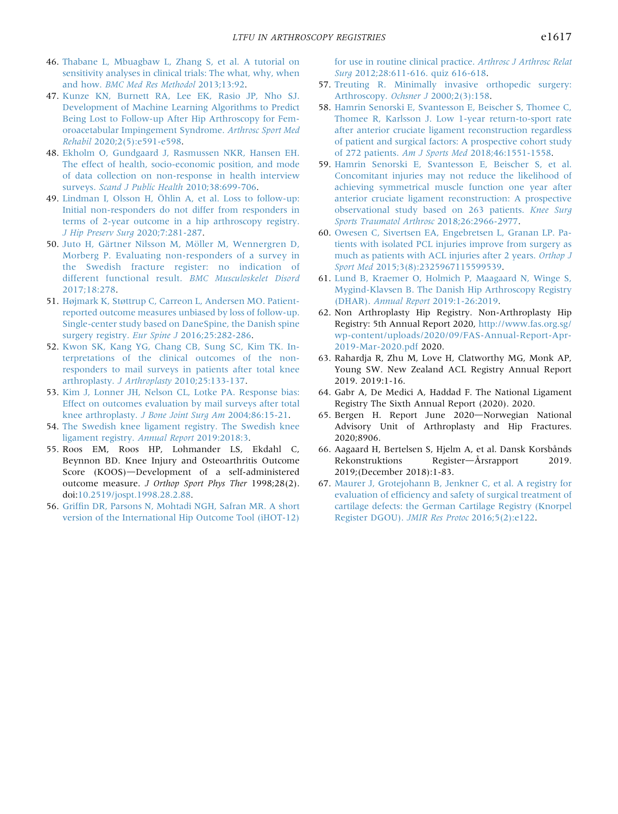- <span id="page-10-3"></span>46. [Thabane L, Mbuagbaw L, Zhang S, et al. A tutorial on](http://refhub.elsevier.com/S2666-061X(21)00129-2/sref46) [sensitivity analyses in clinical trials: The what, why, when](http://refhub.elsevier.com/S2666-061X(21)00129-2/sref46) and how. [BMC Med Res Methodol](http://refhub.elsevier.com/S2666-061X(21)00129-2/sref46) 2013;13:92.
- <span id="page-10-4"></span>47. [Kunze KN, Burnett RA, Lee EK, Rasio JP, Nho SJ.](http://refhub.elsevier.com/S2666-061X(21)00129-2/sref47) [Development of Machine Learning Algorithms to Predict](http://refhub.elsevier.com/S2666-061X(21)00129-2/sref47) [Being Lost to Follow-up After Hip Arthroscopy for Fem](http://refhub.elsevier.com/S2666-061X(21)00129-2/sref47)[oroacetabular Impingement Syndrome.](http://refhub.elsevier.com/S2666-061X(21)00129-2/sref47) Arthrosc Sport Med Rehabil [2020;2\(5\):e591-e598](http://refhub.elsevier.com/S2666-061X(21)00129-2/sref47).
- <span id="page-10-5"></span>48. [Ekholm O, Gundgaard J, Rasmussen NKR, Hansen EH.](http://refhub.elsevier.com/S2666-061X(21)00129-2/sref48) [The effect of health, socio-economic position, and mode](http://refhub.elsevier.com/S2666-061X(21)00129-2/sref48) [of data collection on non-response in health interview](http://refhub.elsevier.com/S2666-061X(21)00129-2/sref48) surveys. [Scand J Public Health](http://refhub.elsevier.com/S2666-061X(21)00129-2/sref48) 2010;38:699-706.
- <span id="page-10-6"></span>49. [Lindman I, Olsson H, Öhlin A, et al. Loss to follow-up:](http://refhub.elsevier.com/S2666-061X(21)00129-2/sref49) [Initial non-responders do not differ from responders in](http://refhub.elsevier.com/S2666-061X(21)00129-2/sref49) [terms of 2-year outcome in a hip arthroscopy registry.](http://refhub.elsevier.com/S2666-061X(21)00129-2/sref49) [J Hip Preserv Surg](http://refhub.elsevier.com/S2666-061X(21)00129-2/sref49) 2020;7:281-287.
- <span id="page-10-7"></span>50. [Juto H, Gärtner Nilsson M, Möller M, Wennergren D,](http://refhub.elsevier.com/S2666-061X(21)00129-2/sref50) [Morberg P. Evaluating non-responders of a survey in](http://refhub.elsevier.com/S2666-061X(21)00129-2/sref50) [the Swedish fracture register: no indication of](http://refhub.elsevier.com/S2666-061X(21)00129-2/sref50) [different functional result.](http://refhub.elsevier.com/S2666-061X(21)00129-2/sref50) BMC Musculoskelet Disord [2017;18:278](http://refhub.elsevier.com/S2666-061X(21)00129-2/sref50).
- <span id="page-10-8"></span>51. [Højmark K, Støttrup C, Carreon L, Andersen MO. Patient](http://refhub.elsevier.com/S2666-061X(21)00129-2/sref51)[reported outcome measures unbiased by loss of follow-up.](http://refhub.elsevier.com/S2666-061X(21)00129-2/sref51) [Single-center study based on DaneSpine, the Danish spine](http://refhub.elsevier.com/S2666-061X(21)00129-2/sref51) surgery registry. Eur Spine J [2016;25:282-286](http://refhub.elsevier.com/S2666-061X(21)00129-2/sref51).
- <span id="page-10-9"></span>52. [Kwon SK, Kang YG, Chang CB, Sung SC, Kim TK. In](http://refhub.elsevier.com/S2666-061X(21)00129-2/sref52)[terpretations of the clinical outcomes of the non](http://refhub.elsevier.com/S2666-061X(21)00129-2/sref52)[responders to mail surveys in patients after total knee](http://refhub.elsevier.com/S2666-061X(21)00129-2/sref52) arthroplasty. J Arthroplasty [2010;25:133-137.](http://refhub.elsevier.com/S2666-061X(21)00129-2/sref52)
- <span id="page-10-10"></span>53. [Kim J, Lonner JH, Nelson CL, Lotke PA. Response bias:](http://refhub.elsevier.com/S2666-061X(21)00129-2/sref53) [Effect on outcomes evaluation by mail surveys after total](http://refhub.elsevier.com/S2666-061X(21)00129-2/sref53) knee arthroplasty. [J Bone Joint Surg Am](http://refhub.elsevier.com/S2666-061X(21)00129-2/sref53) 2004;86:15-21.
- <span id="page-10-11"></span>54. [The Swedish knee ligament registry. The Swedish knee](http://refhub.elsevier.com/S2666-061X(21)00129-2/sref54) [ligament registry.](http://refhub.elsevier.com/S2666-061X(21)00129-2/sref54) Annual Report 2019:2018:3.
- <span id="page-10-12"></span>55. Roos EM, Roos HP, Lohmander LS, Ekdahl C, Beynnon BD. Knee Injury and Osteoarthritis Outcome Score (KOOS)-Development of a self-administered outcome measure. J Orthop Sport Phys Ther 1998;28(2). doi:[10.2519/jospt.1998.28.2.88](https://doi.org/10.2519/jospt.1998.28.2.88).
- <span id="page-10-13"></span>56. Griffi[n DR, Parsons N, Mohtadi NGH, Safran MR. A short](http://refhub.elsevier.com/S2666-061X(21)00129-2/sref56) [version of the International Hip Outcome Tool \(iHOT-12\)](http://refhub.elsevier.com/S2666-061X(21)00129-2/sref56)

<span id="page-10-16"></span>[for use in routine clinical practice.](http://refhub.elsevier.com/S2666-061X(21)00129-2/sref56) Arthrosc J Arthrosc Relat Surg [2012;28:611-616. quiz 616-618](http://refhub.elsevier.com/S2666-061X(21)00129-2/sref56).

- <span id="page-10-14"></span>57. [Treuting R. Minimally invasive orthopedic surgery:](http://refhub.elsevier.com/S2666-061X(21)00129-2/sref57) Arthroscopy. Ochsner J [2000;2\(3\):158.](http://refhub.elsevier.com/S2666-061X(21)00129-2/sref57)
- 58. [Hamrin Senorski E, Svantesson E, Beischer S, Thomee C,](http://refhub.elsevier.com/S2666-061X(21)00129-2/sref58) [Thomee R, Karlsson J. Low 1-year return-to-sport rate](http://refhub.elsevier.com/S2666-061X(21)00129-2/sref58) [after anterior cruciate ligament reconstruction regardless](http://refhub.elsevier.com/S2666-061X(21)00129-2/sref58) [of patient and surgical factors: A prospective cohort study](http://refhub.elsevier.com/S2666-061X(21)00129-2/sref58) of 272 patients. Am J Sports Med [2018;46:1551-1558.](http://refhub.elsevier.com/S2666-061X(21)00129-2/sref58)
- 59. [Hamrin Senorski E, Svantesson E, Beischer S, et al.](http://refhub.elsevier.com/S2666-061X(21)00129-2/sref59) [Concomitant injuries may not reduce the likelihood of](http://refhub.elsevier.com/S2666-061X(21)00129-2/sref59) [achieving symmetrical muscle function one year after](http://refhub.elsevier.com/S2666-061X(21)00129-2/sref59) [anterior cruciate ligament reconstruction: A prospective](http://refhub.elsevier.com/S2666-061X(21)00129-2/sref59) [observational study based on 263 patients.](http://refhub.elsevier.com/S2666-061X(21)00129-2/sref59) Knee Surg [Sports Traumatol Arthrosc](http://refhub.elsevier.com/S2666-061X(21)00129-2/sref59) 2018;26:2966-2977.
- 60. [Owesen C, Sivertsen EA, Engebretsen L, Granan LP. Pa](http://refhub.elsevier.com/S2666-061X(21)00129-2/sref60)[tients with isolated PCL injuries improve from surgery as](http://refhub.elsevier.com/S2666-061X(21)00129-2/sref60) [much as patients with ACL injuries after 2 years.](http://refhub.elsevier.com/S2666-061X(21)00129-2/sref60) Orthop J Sport Med [2015;3\(8\):2325967115599539](http://refhub.elsevier.com/S2666-061X(21)00129-2/sref60).
- <span id="page-10-15"></span>61. [Lund B, Kraemer O, Holmich P, Maagaard N, Winge S,](http://refhub.elsevier.com/S2666-061X(21)00129-2/sref61) [Mygind-Klavsen B. The Danish Hip Arthroscopy Registry](http://refhub.elsevier.com/S2666-061X(21)00129-2/sref61) (DHAR). Annual Report [2019:1-26:2019.](http://refhub.elsevier.com/S2666-061X(21)00129-2/sref61)
- <span id="page-10-17"></span><span id="page-10-2"></span><span id="page-10-1"></span><span id="page-10-0"></span>62. Non Arthroplasty Hip Registry. Non-Arthroplasty Hip Registry: 5th Annual Report 2020, [http://www.fas.org.sg/](http://www.fas.org.sg/wp-content/uploads/2020/09/FAS-Annual-Report-Apr-2019-Mar-2020.pdf) [wp-content/uploads/2020/09/FAS-Annual-Report-Apr-](http://www.fas.org.sg/wp-content/uploads/2020/09/FAS-Annual-Report-Apr-2019-Mar-2020.pdf)[2019-Mar-2020.pdf](http://www.fas.org.sg/wp-content/uploads/2020/09/FAS-Annual-Report-Apr-2019-Mar-2020.pdf) 2020.
- 63. Rahardja R, Zhu M, Love H, Clatworthy MG, Monk AP, Young SW. New Zealand ACL Registry Annual Report 2019. 2019:1-16.
- 64. Gabr A, De Medici A, Haddad F. The National Ligament Registry The Sixth Annual Report (2020). 2020.
- 65. Bergen H. Report June 2020—Norwegian National Advisory Unit of Arthroplasty and Hip Fractures. 2020;8906.
- 66. Aagaard H, Bertelsen S, Hjelm A, et al. Dansk Korsbånds Rekonstruktions Register—Årsrapport 2019. 2019;(December 2018):1-83.
- 67. [Maurer J, Grotejohann B, Jenkner C, et al. A registry for](http://refhub.elsevier.com/S2666-061X(21)00129-2/sref67) evaluation of effi[ciency and safety of surgical treatment of](http://refhub.elsevier.com/S2666-061X(21)00129-2/sref67) [cartilage defects: the German Cartilage Registry \(Knorpel](http://refhub.elsevier.com/S2666-061X(21)00129-2/sref67) [Register DGOU\).](http://refhub.elsevier.com/S2666-061X(21)00129-2/sref67) JMIR Res Protoc 2016;5(2):e122.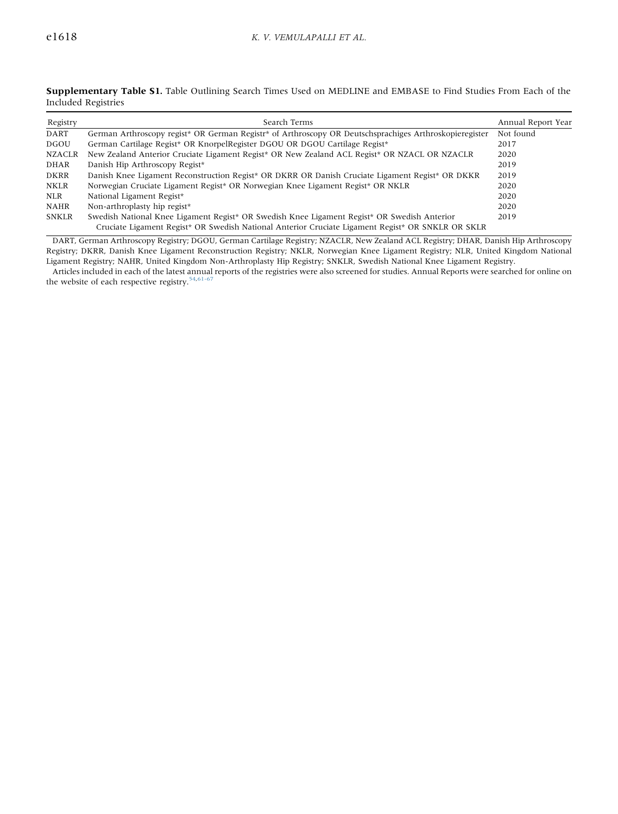| Supplementary Table S1. Table Outlining Search Times Used on MEDLINE and EMBASE to Find Studies From Each of the |  |  |  |  |  |
|------------------------------------------------------------------------------------------------------------------|--|--|--|--|--|
| Included Registries                                                                                              |  |  |  |  |  |

| Registry      | Search Terms                                                                                           | Annual Report Year |
|---------------|--------------------------------------------------------------------------------------------------------|--------------------|
| DART          | German Arthroscopy regist* OR German Registr* of Arthroscopy OR Deutschsprachiges Arthroskopieregister | Not found          |
| <b>DGOU</b>   | German Cartilage Regist* OR KnorpelRegister DGOU OR DGOU Cartilage Regist*                             | 2017               |
| <b>NZACLR</b> | New Zealand Anterior Cruciate Ligament Regist* OR New Zealand ACL Regist* OR NZACL OR NZACLR           | 2020               |
| <b>DHAR</b>   | Danish Hip Arthroscopy Regist*                                                                         | 2019               |
| <b>DKRR</b>   | Danish Knee Ligament Reconstruction Regist* OR DKRR OR Danish Cruciate Ligament Regist* OR DKKR        | 2019               |
| NKLR          | Norwegian Cruciate Ligament Regist* OR Norwegian Knee Ligament Regist* OR NKLR                         | 2020               |
| <b>NLR</b>    | National Ligament Regist*                                                                              | 2020               |
| NAHR          | Non-arthroplasty hip regist*                                                                           | 2020               |
| SNKLR         | Swedish National Knee Ligament Regist* OR Swedish Knee Ligament Regist* OR Swedish Anterior            | 2019               |
|               | Cruciate Ligament Regist* OR Swedish National Anterior Cruciate Ligament Regist* OR SNKLR OR SKLR      |                    |

DART, German Arthroscopy Registry; DGOU, German Cartilage Registry; NZACLR, New Zealand ACL Registry; DHAR, Danish Hip Arthroscopy Registry; DKRR, Danish Knee Ligament Reconstruction Registry; NKLR, Norwegian Knee Ligament Registry; NLR, United Kingdom National Ligament Registry; NAHR, United Kingdom Non-Arthroplasty Hip Registry; SNKLR, Swedish National Knee Ligament Registry.

Articles included in each of the latest annual reports of the registries were also screened for studies. Annual Reports were searched for online on the website of each respective registry.<sup>[54](#page-10-11),[61-67](#page-10-15)</sup>